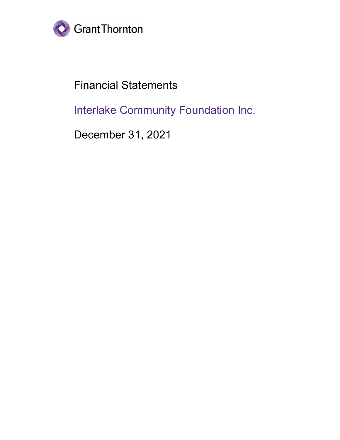

Financial Statements

Interlake Community Foundation Inc.

December 31, 2021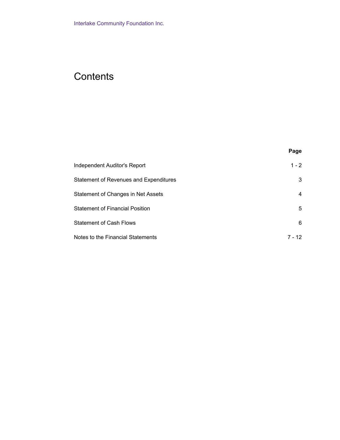# **Contents**

| . .<br>v<br>×<br>۰.<br>v<br>۰. |
|--------------------------------|
|--------------------------------|

| Independent Auditor's Report           | $1 - 2$ |
|----------------------------------------|---------|
| Statement of Revenues and Expenditures | 3       |
| Statement of Changes in Net Assets     | 4       |
| Statement of Financial Position        | 5       |
| <b>Statement of Cash Flows</b>         | 6       |
| Notes to the Financial Statements      | 7 - 12  |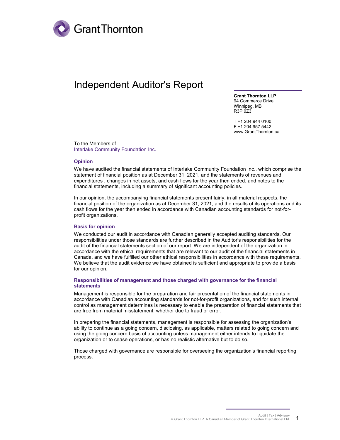

# Independent Auditor's Report

**Grant Thornton LLP** 94 Commerce Drive Winnipeg, MB R3P 0Z3

T +1 204 944 0100 F +1 204 957 5442 www.GrantThornton.ca

To the Members of Interlake Community Foundation Inc.

#### **Opinion**

We have audited the financial statements of Interlake Community Foundation Inc., which comprise the statement of financial position as at December 31, 2021, and the statements of revenues and expenditures , changes in net assets, and cash flows for the year then ended, and notes to the financial statements, including a summary of significant accounting policies.

In our opinion, the accompanying financial statements present fairly, in all material respects, the financial position of the organization as at December 31, 2021, and the results of its operations and its cash flows for the year then ended in accordance with Canadian accounting standards for not-forprofit organizations.

#### **Basis for opinion**

We conducted our audit in accordance with Canadian generally accepted auditing standards. Our responsibilities under those standards are further described in the Auditor's responsibilities for the audit of the financial statements section of our report. We are independent of the organization in accordance with the ethical requirements that are relevant to our audit of the financial statements in Canada, and we have fulfilled our other ethical responsibilities in accordance with these requirements. We believe that the audit evidence we have obtained is sufficient and appropriate to provide a basis for our opinion.

#### **Responsibilities of management and those charged with governance for the financial statements**

Management is responsible for the preparation and fair presentation of the financial statements in accordance with Canadian accounting standards for not-for-profit organizations, and for such internal control as management determines is necessary to enable the preparation of financial statements that are free from material misstatement, whether due to fraud or error.

In preparing the financial statements, management is responsible for assessing the organization's ability to continue as a going concern, disclosing, as applicable, matters related to going concern and using the going concern basis of accounting unless management either intends to liquidate the organization or to cease operations, or has no realistic alternative but to do so.

Those charged with governance are responsible for overseeing the organization's financial reporting process.

> Audit | Tax | Advisory © Grant Thornton LLP. A Canadian Member of Grant Thornton International Ltd 1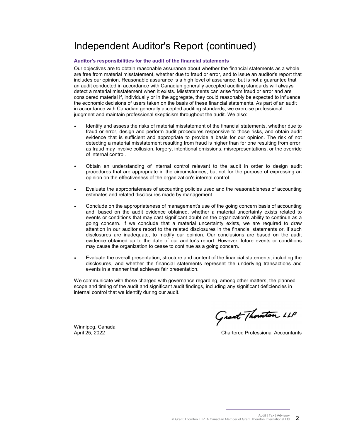# Independent Auditor's Report (continued)

#### **Auditor's responsibilities for the audit of the financial statements**

Our objectives are to obtain reasonable assurance about whether the financial statements as a whole are free from material misstatement, whether due to fraud or error, and to issue an auditor's report that includes our opinion. Reasonable assurance is a high level of assurance, but is not a guarantee that an audit conducted in accordance with Canadian generally accepted auditing standards will always detect a material misstatement when it exists. Misstatements can arise from fraud or error and are considered material if, individually or in the aggregate, they could reasonably be expected to influence the economic decisions of users taken on the basis of these financial statements. As part of an audit in accordance with Canadian generally accepted auditing standards, we exercise professional judgment and maintain professional skepticism throughout the audit. We also:

- Identify and assess the risks of material misstatement of the financial statements, whether due to fraud or error, design and perform audit procedures responsive to those risks, and obtain audit evidence that is sufficient and appropriate to provide a basis for our opinion. The risk of not detecting a material misstatement resulting from fraud is higher than for one resulting from error, as fraud may involve collusion, forgery, intentional omissions, misrepresentations, or the override of internal control.
- Obtain an understanding of internal control relevant to the audit in order to design audit procedures that are appropriate in the circumstances, but not for the purpose of expressing an opinion on the effectiveness of the organization's internal control.
- Evaluate the appropriateness of accounting policies used and the reasonableness of accounting estimates and related disclosures made by management.
- Conclude on the appropriateness of management's use of the going concern basis of accounting and, based on the audit evidence obtained, whether a material uncertainty exists related to events or conditions that may cast significant doubt on the organization's ability to continue as a going concern. If we conclude that a material uncertainty exists, we are required to draw attention in our auditor's report to the related disclosures in the financial statements or, if such disclosures are inadequate, to modify our opinion. Our conclusions are based on the audit evidence obtained up to the date of our auditor's report. However, future events or conditions may cause the organization to cease to continue as a going concern.
- Evaluate the overall presentation, structure and content of the financial statements, including the disclosures, and whether the financial statements represent the underlying transactions and events in a manner that achieves fair presentation.

We communicate with those charged with governance regarding, among other matters, the planned scope and timing of the audit and significant audit findings, including any significant deficiencies in internal control that we identify during our audit.

Winnipeg, Canada

Grant Thouton LLP

April 25, 2022 Chartered Professional Accountants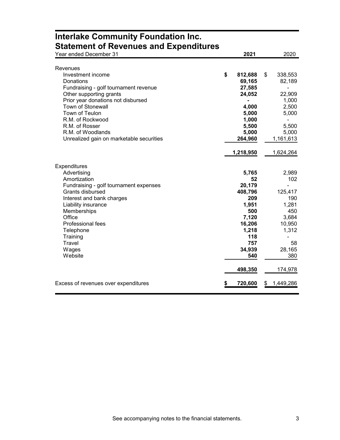| Interlake Community Foundation Inc.                                     |               |                 |
|-------------------------------------------------------------------------|---------------|-----------------|
| <b>Statement of Revenues and Expenditures</b><br>Year ended December 31 | 2021          | 2020            |
| Revenues                                                                |               |                 |
| Investment income                                                       | \$<br>812,688 | \$<br>338,553   |
| Donations                                                               | 69,165        | 82,189          |
| Fundraising - golf tournament revenue                                   | 27,585        |                 |
| Other supporting grants                                                 | 24,052        | 22,909          |
| Prior year donations not disbursed                                      |               | 1,000           |
| <b>Town of Stonewall</b>                                                | 4,000         | 2,500           |
| Town of Teulon                                                          | 5,000         | 5,000           |
| R.M. of Rockwood                                                        | 1,000         |                 |
| R.M. of Rosser                                                          | 5,500         | 5,500           |
| R.M. of Woodlands                                                       | 5,000         | 5,000           |
| Unrealized gain on marketable securities                                | 264,960       |                 |
|                                                                         |               | 1,161,613       |
|                                                                         |               |                 |
|                                                                         | 1,218,950     | 1,624,264       |
| Expenditures                                                            |               |                 |
| Advertising                                                             | 5,765         | 2,989           |
| Amortization                                                            | 52            | 102             |
| Fundraising - golf tournament expenses                                  | 20,179        |                 |
| Grants disbursed                                                        | 408,796       | 125,417         |
| Interest and bank charges                                               | 209           | 190             |
| Liability insurance                                                     | 1,951         | 1,281           |
| Memberships                                                             | 500           | 450             |
| Office                                                                  | 7,120         | 3,684           |
| <b>Professional fees</b>                                                | 16,206        | 10,950          |
|                                                                         |               |                 |
| Telephone                                                               | 1,218<br>118  | 1,312           |
| Training<br>Travel                                                      | 757           |                 |
|                                                                         |               | 58              |
| Wages<br>Website                                                        | 34,939        | 28,165          |
|                                                                         | 540           | 380             |
|                                                                         | 498,350       | 174,978         |
| Excess of revenues over expenditures                                    | \$<br>720,600 | \$<br>1,449,286 |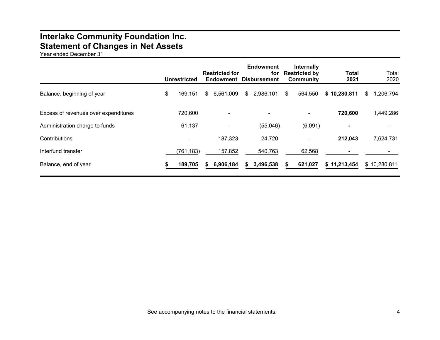## **Interlake Community Foundation Inc. Statement of Changes in Net Assets**

Year ended December 31

|                                      | Unrestricted  | <b>Restricted for</b><br><b>Endowment</b> |    | <b>Endowment</b><br>for<br><b>Disbursement</b> |     | Internally<br><b>Restricted by</b><br>Community | Total<br>2021  |   | Total<br>2020 |
|--------------------------------------|---------------|-------------------------------------------|----|------------------------------------------------|-----|-------------------------------------------------|----------------|---|---------------|
| Balance, beginning of year           | \$<br>169,151 | \$<br>6,561,009                           | \$ | 2,986,101                                      | \$. | 564,550                                         | \$10,280,811   | S | 1,206,794     |
| Excess of revenues over expenditures | 720,600       | $\overline{\phantom{0}}$                  |    | $\overline{\phantom{a}}$                       |     |                                                 | 720,600        |   | 1,449,286     |
| Administration charge to funds       | 61,137        |                                           |    | (55,046)                                       |     | (6,091)                                         | $\blacksquare$ |   |               |
| Contributions                        |               | 187,323                                   |    | 24,720                                         |     |                                                 | 212,043        |   | 7,624,731     |
| Interfund transfer                   | (761, 183)    | 157,852                                   |    | 540,763                                        |     | 62,568                                          |                |   |               |
| Balance, end of year                 | 189,705       | 6,906,184                                 | S. | 3,496,538                                      |     | 621,027                                         | \$11,213,454   |   | \$10,280,811  |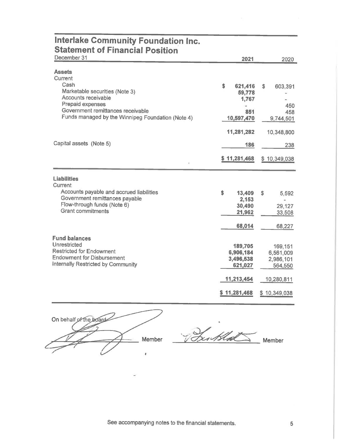# Interlake Community Foundation Inc.<br>Statement of Financial Position

| December 31                                                                                                                                                                                             | 2021                                                                       | 2020                                                                       |
|---------------------------------------------------------------------------------------------------------------------------------------------------------------------------------------------------------|----------------------------------------------------------------------------|----------------------------------------------------------------------------|
| <b>Assets</b><br>Current<br>Cash<br>Marketable securities (Note 3)<br>Accounts receivable<br>Prepaid expenses<br>Government remittances receivable<br>Funds managed by the Winnipeg Foundation (Note 4) | Ŝ<br>621,416<br>59,778<br>1,767<br>W)<br>851<br>10,597,470                 | S.<br>603,391<br>450<br>458<br>9,744,501                                   |
|                                                                                                                                                                                                         | 11,281,282                                                                 | 10,348,800                                                                 |
| Capital assets (Note 5)                                                                                                                                                                                 | 186                                                                        | 238                                                                        |
|                                                                                                                                                                                                         | \$11,281,468                                                               | \$10,349,038                                                               |
| <b>Liabilities</b><br>Current<br>Accounts payable and accrued liabilities<br>Government remittances payable<br>Flow-through funds (Note 6)<br><b>Grant commitments</b>                                  | \$<br>13,409<br>2,153<br>30,490<br>21,962<br>68,014                        | \$<br>5,592<br>29,127<br>33,508<br>68,227                                  |
| <b>Fund balances</b><br>Unrestricted<br><b>Restricted for Endowment</b><br><b>Endowment for Disbursement</b><br>Internally Restricted by Community                                                      | 189,705<br>6,906,184<br>3,496,538<br>621,027<br>11,213,454<br>\$11,281,468 | 169,151<br>6,561,009<br>2,986,101<br>564,550<br>10,280,811<br>\$10,349,038 |

On behalf of the board Member  $\ddot{\theta}$ 

 $\Delta$ Luthal

Member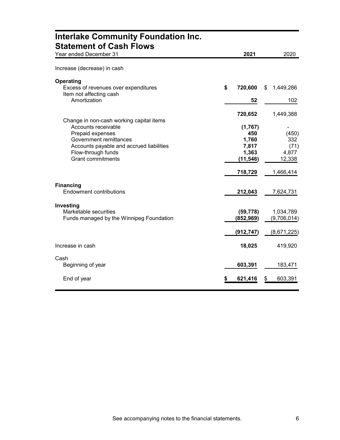| <b>Interlake Community Foundation Inc.</b>                                          |               |                 |
|-------------------------------------------------------------------------------------|---------------|-----------------|
| <b>Statement of Cash Flows</b>                                                      |               |                 |
| Year ended December 31                                                              | 2021          | 2020            |
| Increase (decrease) in cash                                                         |               |                 |
| <b>Operating</b><br>Excess of revenues over expenditures<br>Item not affecting cash | \$<br>720,600 | \$<br>1,449,286 |
| Amortization                                                                        | 52            | 102             |
| Change in non-cash working capital items                                            | 720,652       | 1,449,388       |
| Accounts receivable                                                                 | (1,767)       |                 |
| Prepaid expenses<br>Government remittances                                          | 450<br>1,760  | (450)<br>332    |
| Accounts payable and accrued liabilities                                            | 7,817         | (71)            |
| Flow-through funds                                                                  | 1,363         | 4,877           |
| <b>Grant commitments</b>                                                            | (11, 546)     | 12,338          |
|                                                                                     | 718,729       | 1,466,414       |
| <b>Financing</b>                                                                    |               |                 |
| <b>Endowment contributions</b>                                                      | 212,043       | 7,624,731       |
| Investing                                                                           |               |                 |
| Marketable securities                                                               | (59, 778)     | 1,034,789       |
| Funds managed by the Winnipeg Foundation                                            | (852, 969)    | (9,706,014)     |
|                                                                                     | (912, 747)    | (8,671,225)     |
| Increase in cash                                                                    | 18,025        | 419,920         |
| Cash                                                                                |               |                 |
| Beginning of year                                                                   | 603,391       | 183,471         |
| End of year                                                                         | 621,416       | 603,391<br>\$   |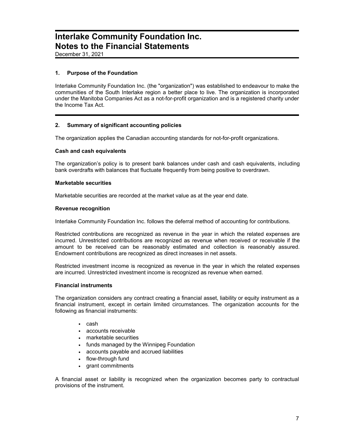December 31, 2021

#### **1. Purpose of the Foundation**

Interlake Community Foundation Inc. (the "organization") was established to endeavour to make the communities of the South Interlake region a better place to live. The organization is incorporated under the Manitoba Companies Act as a not-for-profit organization and is a registered charity under the Income Tax Act.

#### **2. Summary of significant accounting policies**

The organization applies the Canadian accounting standards for not-for-profit organizations.

#### **Cash and cash equivalents**

The organization's policy is to present bank balances under cash and cash equivalents, including bank overdrafts with balances that fluctuate frequently from being positive to overdrawn.

#### **Marketable securities**

Marketable securities are recorded at the market value as at the year end date.

#### **Revenue recognition**

Interlake Community Foundation Inc. follows the deferral method of accounting for contributions.

Restricted contributions are recognized as revenue in the year in which the related expenses are incurred. Unrestricted contributions are recognized as revenue when received or receivable if the amount to be received can be reasonably estimated and collection is reasonably assured. Endowment contributions are recognized as direct increases in net assets.

Restricted investment income is recognized as revenue in the year in which the related expenses are incurred. Unrestricted investment income is recognized as revenue when earned.

#### **Financial instruments**

The organization considers any contract creating a financial asset, liability or equity instrument as a financial instrument, except in certain limited circumstances. The organization accounts for the following as financial instruments:

- cash
- accounts receivable
- marketable securities
- funds managed by the Winnipeg Foundation
- accounts payable and accrued liabilities
- flow-through fund
- grant commitments

A financial asset or liability is recognized when the organization becomes party to contractual provisions of the instrument.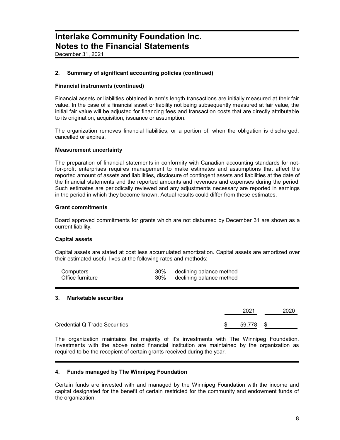December 31, 2021

#### **2. Summary of significant accounting policies (continued)**

#### **Financial instruments (continued)**

Financial assets or liabilities obtained in arm's length transactions are initially measured at their fair value. In the case of a financial asset or liability not being subsequently measured at fair value, the initial fair value will be adjusted for financing fees and transaction costs that are directly attributable to its origination, acquisition, issuance or assumption.

The organization removes financial liabilities, or a portion of, when the obligation is discharged, cancelled or expires.

#### **Measurement uncertainty**

The preparation of financial statements in conformity with Canadian accounting standards for notfor-profit enterprises requires management to make estimates and assumptions that affect the reported amount of assets and liabilitlies, disclosure of contingent assets and liabilities at the date of the financial statements and the reported amounts and revenues and expenses during the period. Such estimates are periodically reviewed and any adjustments necessary are reported in earnings in the period in which they become known. Actual results could differ from these estimates.

#### **Grant commitments**

Board approved commitments for grants which are not disbursed by December 31 are shown as a current liability.

#### **Capital assets**

Capital assets are stated at cost less accumulated amortization. Capital assets are amortized over their estimated useful lives at the following rates and methods:

| Computers        | 30% | declining balance method |
|------------------|-----|--------------------------|
| Office furniture | 30% | declining balance method |

#### **3. Marketable securities**

|                                      | ----      | ∼∽∽    |
|--------------------------------------|-----------|--------|
| <b>Credential Q-Trade Securities</b> | 59.778 \$ | $\sim$ |

The organization maintains the majority of it's investments with The Winnipeg Foundation. Investments with the above noted financial institution are maintained by the organization as required to be the recepient of certain grants received during the year.

#### **4. Funds managed by The Winnipeg Foundation**

Certain funds are invested with and managed by the Winnipeg Foundation with the income and capital designated for the benefit of certain restricted for the community and endowment funds of the organization.

2021 2020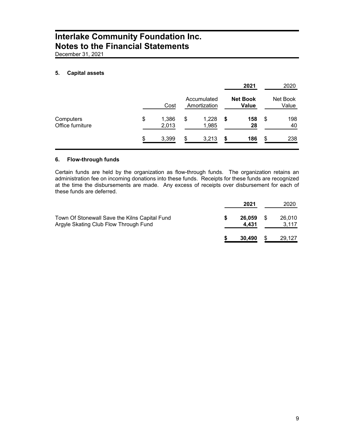December 31, 2021

#### **5. Capital assets**

|                               |                      |                             |   | 2021                            |    | 2020              |
|-------------------------------|----------------------|-----------------------------|---|---------------------------------|----|-------------------|
|                               | Cost                 | Accumulated<br>Amortization |   | <b>Net Book</b><br><b>Value</b> |    | Net Book<br>Value |
| Computers<br>Office furniture | \$<br>1,386<br>2,013 | \$<br>1,228<br>1,985        | S | 158<br>28                       | \$ | 198<br>40         |
|                               | 3,399                | \$<br>3,213                 | S | 186                             | S  | 238               |

#### **6. Flow-through funds**

Certain funds are held by the organization as flow-through funds. The organization retains an administration fee on incoming donations into these funds. Receipts for these funds are recognized at the time the disbursements are made. Any excess of receipts over disbursement for each of these funds are deferred.

|                                                                                        | 2021            |   | 2020            |
|----------------------------------------------------------------------------------------|-----------------|---|-----------------|
| Town Of Stonewall Save the Kilns Capital Fund<br>Argyle Skating Club Flow Through Fund | 26.059<br>4.431 | S | 26,010<br>3.117 |
|                                                                                        | 30.490          |   | 29,127          |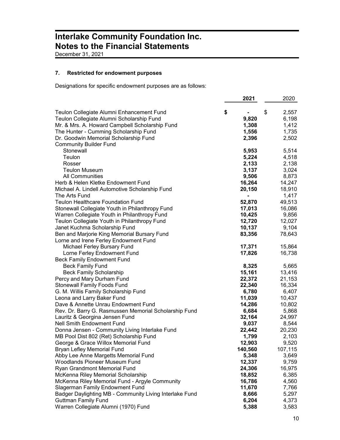December 31, 2021

#### **7. Restricted for endowment purposes**

Designations for specific endowment purposes are as follows:

|                                                         | 2021    | 2020        |
|---------------------------------------------------------|---------|-------------|
|                                                         |         |             |
| Teulon Collegiate Alumni Enhancement Fund               | \$      | \$<br>2,557 |
| Teulon Collegiate Alumni Scholarship Fund               | 9,820   | 6,198       |
| Mr. & Mrs. A. Howard Campbell Scholarship Fund          | 1,308   | 1,412       |
| The Hunter - Cumming Scholarship Fund                   | 1,556   | 1,735       |
| Dr. Goodwin Memorial Scholarship Fund                   | 2,396   | 2,502       |
| <b>Community Builder Fund</b>                           |         |             |
| Stonewall                                               | 5,953   | 5,514       |
| Teulon                                                  | 5,224   | 4,518       |
| Rosser                                                  | 2,133   | 2,138       |
| <b>Teulon Museum</b>                                    | 3,137   | 3,024       |
| All Communities                                         | 9,506   | 8,873       |
| Herb & Helen Kletke Endowment Fund                      | 16,264  | 14,247      |
| Michael A. Lindell Automotive Scholarship Fund          | 20,150  | 18,910      |
| The Arts Fund                                           |         | 1,417       |
| <b>Teulon Healthcare Foundation Fund</b>                | 52,870  | 49,513      |
| Stonewall Collegiate Youth in Philanthropy Fund         | 17,013  | 16,086      |
| Warren Collegiate Youth in Philanthropy Fund            | 10,425  | 9,856       |
| Teulon Collegiate Youth in Philanthropy Fund            | 12,720  | 12,027      |
| Janet Kuchma Scholarship Fund                           | 10,137  | 9,104       |
| Ben and Marjorie King Memorial Bursary Fund             | 83,356  | 78,643      |
| Lorne and Irene Ferley Endowment Fund                   |         |             |
| Michael Ferley Bursary Fund                             | 17,371  | 15,864      |
| Lorne Ferley Endowment Fund                             | 17,826  | 16,738      |
| <b>Beck Family Endowment Fund</b>                       |         |             |
| <b>Beck Family Fund</b>                                 | 8,325   | 5,665       |
| <b>Beck Family Scholarship</b>                          | 15,161  | 13,416      |
| Percy and Mary Durham Fund                              | 22,372  | 21,153      |
| Stonewall Family Foods Fund                             | 22,340  | 16,334      |
| G. M. Willis Family Scholarship Fund                    | 6,780   | 6,407       |
| Leona and Larry Baker Fund                              | 11,039  | 10,437      |
| Dave & Annette Unrau Endowment Fund                     | 14,286  | 10,802      |
| Rev. Dr. Barry G. Rasmussen Memorial Scholarship Fund   | 6,684   | 5,868       |
| Lauritz & Georgina Jensen Fund                          | 32,164  | 24,997      |
| <b>Nell Smith Endowment Fund</b>                        | 9,037   | 8,544       |
| Donna Jensen - Community Living Interlake Fund          | 22,442  | 20,230      |
| MB Pool Dist 802 (Ret) Scholarship Fund                 | 1,799   | 2,103       |
| George & Grace Willox Memorial Fund                     | 12,903  | 9,520       |
| Bryan Lefley Memorial Fund                              | 140,560 | 107,115     |
| Abby Lee Anne Margetts Memorial Fund                    | 5,348   | 3,649       |
| <b>Woodlands Pioneer Museum Fund</b>                    | 12,337  | 9,759       |
| Ryan Grandmont Memorial Fund                            | 24,306  | 16,975      |
| McKenna Riley Memorial Scholarship                      | 18,852  | 6,385       |
| McKenna Riley Memorial Fund - Argyle Community          | 16,786  | 4,560       |
| Slagerman Family Endowment Fund                         | 11,670  | 7,766       |
| Badger Daylighting MB - Community Living Interlake Fund | 8,666   | 5,297       |
| <b>Guttman Family Fund</b>                              | 6,204   | 4,373       |
| Warren Collegiate Alumni (1970) Fund                    | 5,388   | 3,583       |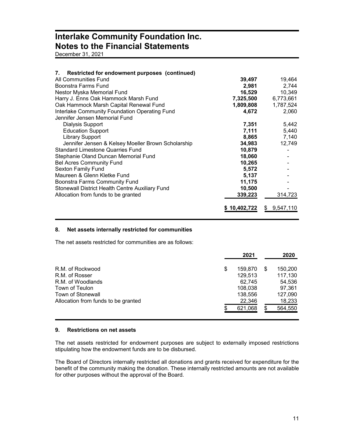December 31, 2021

| Restricted for endowment purposes (continued)<br>7. |              |             |
|-----------------------------------------------------|--------------|-------------|
| All Communities Fund                                | 39,497       | 19,464      |
| Boonstra Farms Fund                                 | 2,981        | 2,744       |
| Nestor Myska Memorial Fund                          | 16,529       | 10,349      |
| Harry J. Enns Oak Hammock Marsh Fund                | 7,325,500    | 6,773,661   |
| Oak Hammock Marsh Capital Renewal Fund              | 1,809,808    | 1,787,524   |
| Interlake Community Foundation Operating Fund       | 4,672        | 2,060       |
| Jennifer Jensen Memorial Fund                       |              |             |
| Dialysis Support                                    | 7,351        | 5,442       |
| <b>Education Support</b>                            | 7,111        | 5,440       |
| <b>Library Support</b>                              | 8,865        | 7,140       |
| Jennifer Jensen & Kelsey Moeller Brown Scholarship  | 34,983       | 12,749      |
| <b>Standard Limestone Quarries Fund</b>             | 10,879       |             |
| Stephanie Oland Duncan Memorial Fund                | 18,060       |             |
| <b>Bel Acres Community Fund</b>                     | 10,265       |             |
| <b>Sexton Family Fund</b>                           | 5,572        |             |
| Maureen & Glenn Kletke Fund                         | 5,137        |             |
| <b>Boonstra Farms Community Fund</b>                | 11,175       |             |
| Stonewall District Health Centre Auxiliary Fund     | 10,500       |             |
| Allocation from funds to be granted                 | 339,223      | 314,723     |
|                                                     |              |             |
|                                                     | \$10,402,722 | \$9,547,110 |

#### **8. Net assets internally restricted for communities**

The net assets restricted for communities are as follows:

|                                     | 2021          | 2020    |
|-------------------------------------|---------------|---------|
| R.M. of Rockwood                    | \$<br>159.870 | 150,200 |
| R.M. of Rosser                      | 129,513       | 117,130 |
| R.M. of Woodlands                   | 62.745        | 54,536  |
| Town of Teulon                      | 108,038       | 97,361  |
| Town of Stonewall                   | 138,556       | 127,090 |
| Allocation from funds to be granted | 22,346        | 18,233  |
|                                     | 621,068       | 564,550 |

#### **9. Restrictions on net assets**

The net assets restricted for endowment purposes are subject to externally imposed restrictions stipulating how the endowment funds are to be disbursed.

The Board of Directors internally restricted all donations and grants received for expenditure for the benefit of the community making the donation. These internally restricted amounts are not available for other purposes without the approval of the Board.